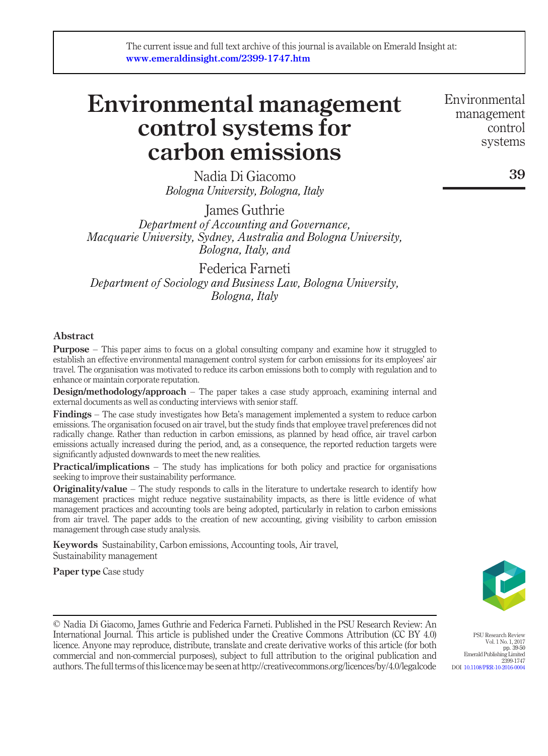# Environmental management control systems for carbon emissions

Nadia Di Giacomo Bologna University, Bologna, Italy

James Guthrie Department of Accounting and Governance, Macquarie University, Sydney, Australia and Bologna University, Bologna, Italy, and

Federica Farneti Department of Sociology and Business Law, Bologna University, Bologna, Italy

## Abstract

**Purpose** – This paper aims to focus on a global consulting company and examine how it struggled to establish an effective environmental management control system for carbon emissions for its employees' air travel. The organisation was motivated to reduce its carbon emissions both to comply with regulation and to enhance or maintain corporate reputation.

**Design/methodology/approach** – The paper takes a case study approach, examining internal and external documents as well as conducting interviews with senior staff.

Findings – The case study investigates how Beta's management implemented a system to reduce carbon emissions. The organisation focused on air travel, but the study finds that employee travel preferences did not radically change. Rather than reduction in carbon emissions, as planned by head office, air travel carbon emissions actually increased during the period, and, as a consequence, the reported reduction targets were significantly adjusted downwards to meet the new realities.

**Practical/implications** – The study has implications for both policy and practice for organisations seeking to improve their sustainability performance.

**Originality/value** – The study responds to calls in the literature to undertake research to identify how management practices might reduce negative sustainability impacts, as there is little evidence of what management practices and accounting tools are being adopted, particularly in relation to carbon emissions from air travel. The paper adds to the creation of new accounting, giving visibility to carbon emission management through case study analysis.

Keywords Sustainability, Carbon emissions, Accounting tools, Air travel, Sustainability management

Paper type Case study



PSU Research Review Vol. 1 No. 1, 2017 pp. 39-50 Emerald Publishing Limited 2399-1747

DOI [10.1108/PRR-10-2016-0004](http://dx.doi.org/10.1108/PRR-10-2016-0004)

© Nadia Di Giacomo, James Guthrie and Federica Farneti. Published in the PSU Research Review: An International Journal. This article is published under the Creative Commons Attribution (CC BY 4.0) licence. Anyone may reproduce, distribute, translate and create derivative works of this article (for both commercial and non-commercial purposes), subject to full attribution to the original publication and authors.The full terms of thislicencemay be seen at http://creativecommons.org/licences/by/4.0/legalcode

Environmental management control systems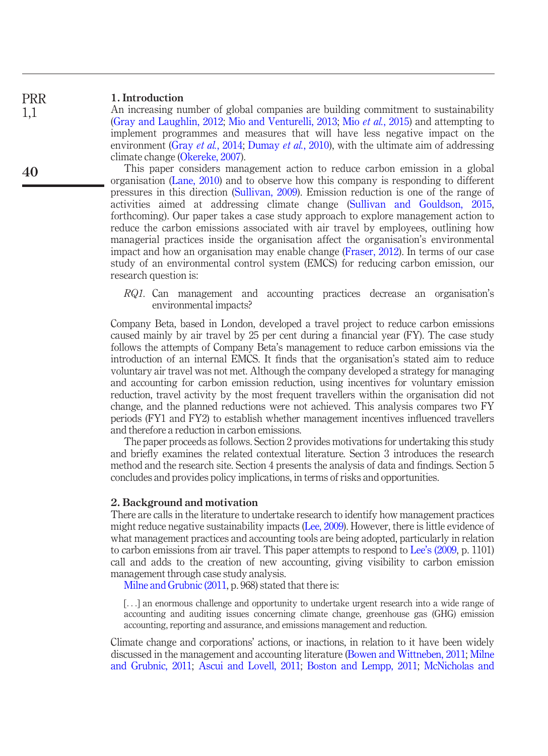#### 1. Introduction PRR

1,1

40

An increasing number of global companies are building commitment to sustainability [\(Gray and Laughlin, 2012](#page-10-0); [Mio and Venturelli, 2013;](#page-10-1) Mio et al.[, 2015\)](#page-10-2) and attempting to implement programmes and measures that will have less negative impact on the environment (Gray et al.[, 2014;](#page-10-3) [Dumay](#page-9-0) et al., 2010), with the ultimate aim of addressing climate change [\(Okereke, 2007\)](#page-10-4).

This paper considers management action to reduce carbon emission in a global organisation ([Lane, 2010\)](#page-10-5) and to observe how this company is responding to different pressures in this direction [\(Sullivan, 2009\)](#page-10-6). Emission reduction is one of the range of activities aimed at addressing climate change ([Sullivan and Gouldson, 2015,](#page-10-7) forthcoming). Our paper takes a case study approach to explore management action to reduce the carbon emissions associated with air travel by employees, outlining how managerial practices inside the organisation affect the organisation's environmental impact and how an organisation may enable change ([Fraser, 2012](#page-10-8)). In terms of our case study of an environmental control system (EMCS) for reducing carbon emission, our research question is:

RQ1. Can management and accounting practices decrease an organisation's environmental impacts?

Company Beta, based in London, developed a travel project to reduce carbon emissions caused mainly by air travel by 25 per cent during a financial year (FY). The case study follows the attempts of Company Beta's management to reduce carbon emissions via the introduction of an internal EMCS. It finds that the organisation's stated aim to reduce voluntary air travel was not met. Although the company developed a strategy for managing and accounting for carbon emission reduction, using incentives for voluntary emission reduction, travel activity by the most frequent travellers within the organisation did not change, and the planned reductions were not achieved. This analysis compares two FY periods (FY1 and FY2) to establish whether management incentives influenced travellers and therefore a reduction in carbon emissions.

The paper proceeds as follows. Section 2 provides motivations for undertaking this study and briefly examines the related contextual literature. Section 3 introduces the research method and the research site. Section 4 presents the analysis of data and findings. Section 5 concludes and provides policy implications, in terms of risks and opportunities.

### 2. Background and motivation

There are calls in the literature to undertake research to identify how management practices might reduce negative sustainability impacts [\(Lee, 2009](#page-10-9)). However, there is little evidence of what management practices and accounting tools are being adopted, particularly in relation to carbon emissions from air travel. This paper attempts to respond to Lee'[s \(2009](#page-10-9), p. 1101) call and adds to the creation of new accounting, giving visibility to carbon emission management through case study analysis.

[Milne and Grubnic \(2011](#page-10-10), p. 968) stated that there is:

[...] an enormous challenge and opportunity to undertake urgent research into a wide range of accounting and auditing issues concerning climate change, greenhouse gas (GHG) emission accounting, reporting and assurance, and emissions management and reduction.

Climate change and corporations' actions, or inactions, in relation to it have been widely discussed in the management and accounting literature [\(Bowen and Wittneben, 2011](#page-9-1); [Milne](#page-10-10) [and Grubnic, 2011;](#page-10-10) [Ascui and Lovell, 2011;](#page-9-2) [Boston and Lempp, 2011;](#page-9-3) [McNicholas and](#page-10-11)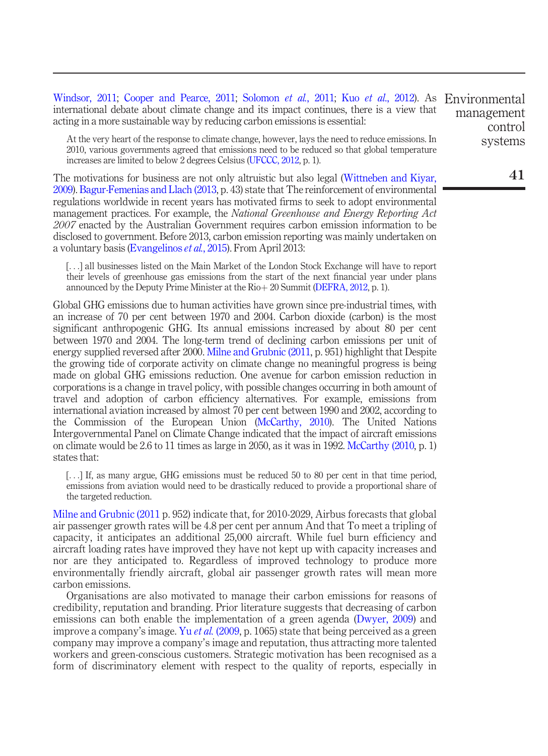[Windsor, 2011](#page-10-11); [Cooper and Pearce, 2011;](#page-9-4) [Solomon](#page-10-12) et al., 2011; Kuo et al[., 2012\)](#page-10-13). As Environmental international debate about climate change and its impact continues, there is a view that acting in a more sustainable way by reducing carbon emissions is essential: management control

At the very heart of the response to climate change, however, lays the need to reduce emissions. In 2010, various governments agreed that emissions need to be reduced so that global temperature increases are limited to below 2 degrees Celsius ([UFCCC, 2012](#page-10-14), p. 1).

The motivations for business are not only altruistic but also legal [\(Wittneben and Kiyar,](#page-11-0) [2009\)](#page-11-0). [Bagur-Femenias and Llach \(2013,](#page-9-5) p. 43) state that The reinforcement of environmental regulations worldwide in recent years has motivated firms to seek to adopt environmental management practices. For example, the National Greenhouse and Energy Reporting Act 2007 enacted by the Australian Government requires carbon emission information to be disclosed to government. Before 2013, carbon emission reporting was mainly undertaken on a voluntary basis [\(Evangelinos](#page-9-6) et al., 2015). From April 2013:

[...] all businesses listed on the Main Market of the London Stock Exchange will have to report their levels of greenhouse gas emissions from the start of the next financial year under plans announced by the Deputy Prime Minister at the  $\text{Rio}+20$  Summit [\(DEFRA, 2012](#page-9-7), p. 1).

Global GHG emissions due to human activities have grown since pre-industrial times, with an increase of 70 per cent between 1970 and 2004. Carbon dioxide (carbon) is the most significant anthropogenic GHG. Its annual emissions increased by about 80 per cent between 1970 and 2004. The long-term trend of declining carbon emissions per unit of energy supplied reversed after 2000. [Milne and Grubnic \(2011,](#page-10-10) p. 951) highlight that Despite the growing tide of corporate activity on climate change no meaningful progress is being made on global GHG emissions reduction. One avenue for carbon emission reduction in corporations is a change in travel policy, with possible changes occurring in both amount of travel and adoption of carbon efficiency alternatives. For example, emissions from international aviation increased by almost 70 per cent between 1990 and 2002, according to the Commission of the European Union ([McCarthy, 2010\)](#page-10-15). The United Nations Intergovernmental Panel on Climate Change indicated that the impact of aircraft emissions on climate would be 2.6 to 11 times as large in 2050, as it was in 1992. [McCarthy \(2010,](#page-10-15) p. 1) states that:

[...] If, as many argue, GHG emissions must be reduced 50 to 80 per cent in that time period, emissions from aviation would need to be drastically reduced to provide a proportional share of the targeted reduction.

[Milne and Grubnic \(2011](#page-10-10) p. 952) indicate that, for 2010-2029, Airbus forecasts that global air passenger growth rates will be 4.8 per cent per annum And that To meet a tripling of capacity, it anticipates an additional 25,000 aircraft. While fuel burn efficiency and aircraft loading rates have improved they have not kept up with capacity increases and nor are they anticipated to. Regardless of improved technology to produce more environmentally friendly aircraft, global air passenger growth rates will mean more carbon emissions.

Organisations are also motivated to manage their carbon emissions for reasons of credibility, reputation and branding. Prior literature suggests that decreasing of carbon emissions can both enable the implementation of a green agenda [\(Dwyer, 2009](#page-9-8)) and improve a company's image. Yu *et al.* [\(2009,](#page-11-1) p. 1065) state that being perceived as a green company may improve a company's image and reputation, thus attracting more talented workers and green-conscious customers. Strategic motivation has been recognised as a form of discriminatory element with respect to the quality of reports, especially in

systems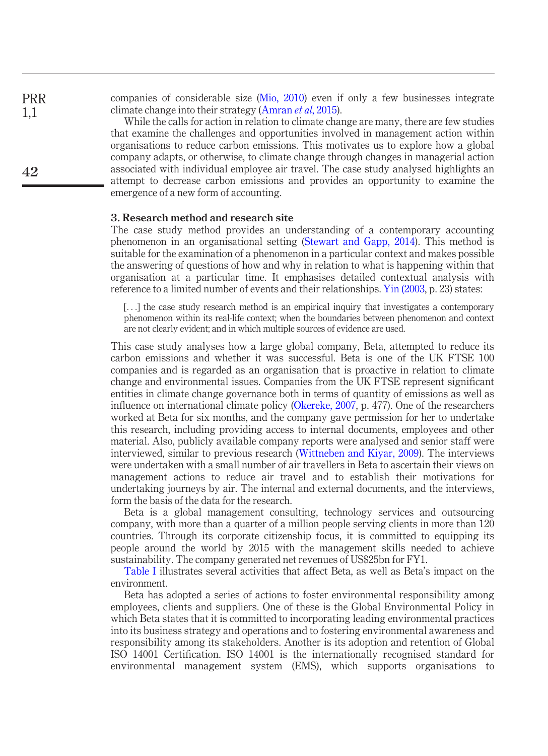companies of considerable size ([Mio, 2010\)](#page-10-16) even if only a few businesses integrate climate change into their strategy [\(Amran](#page-9-9) *et al*, 2015). PRR

> While the calls for action in relation to climate change are many, there are few studies that examine the challenges and opportunities involved in management action within organisations to reduce carbon emissions. This motivates us to explore how a global company adapts, or otherwise, to climate change through changes in managerial action associated with individual employee air travel. The case study analysed highlights an attempt to decrease carbon emissions and provides an opportunity to examine the emergence of a new form of accounting.

#### 3. Research method and research site

The case study method provides an understanding of a contemporary accounting phenomenon in an organisational setting [\(Stewart and Gapp, 2014\)](#page-10-17). This method is suitable for the examination of a phenomenon in a particular context and makes possible the answering of questions of how and why in relation to what is happening within that organisation at a particular time. It emphasises detailed contextual analysis with reference to a limited number of events and their relationships. [Yin \(2003,](#page-11-2) p. 23) states:

[...] the case study research method is an empirical inquiry that investigates a contemporary phenomenon within its real-life context; when the boundaries between phenomenon and context are not clearly evident; and in which multiple sources of evidence are used.

This case study analyses how a large global company, Beta, attempted to reduce its carbon emissions and whether it was successful. Beta is one of the UK FTSE 100 companies and is regarded as an organisation that is proactive in relation to climate change and environmental issues. Companies from the UK FTSE represent significant entities in climate change governance both in terms of quantity of emissions as well as influence on international climate policy ([Okereke, 2007,](#page-10-4) p. 477). One of the researchers worked at Beta for six months, and the company gave permission for her to undertake this research, including providing access to internal documents, employees and other material. Also, publicly available company reports were analysed and senior staff were interviewed, similar to previous research ([Wittneben and Kiyar, 2009](#page-11-0)). The interviews were undertaken with a small number of air travellers in Beta to ascertain their views on management actions to reduce air travel and to establish their motivations for undertaking journeys by air. The internal and external documents, and the interviews, form the basis of the data for the research.

Beta is a global management consulting, technology services and outsourcing company, with more than a quarter of a million people serving clients in more than 120 countries. Through its corporate citizenship focus, it is committed to equipping its people around the world by 2015 with the management skills needed to achieve sustainability. The company generated net revenues of US\$25bn for FY1.

[Table I](#page-4-0) illustrates several activities that affect Beta, as well as Beta's impact on the environment.

Beta has adopted a series of actions to foster environmental responsibility among employees, clients and suppliers. One of these is the Global Environmental Policy in which Beta states that it is committed to incorporating leading environmental practices into its business strategy and operations and to fostering environmental awareness and responsibility among its stakeholders. Another is its adoption and retention of Global ISO 14001 Certification. ISO 14001 is the internationally recognised standard for environmental management system (EMS), which supports organisations to

1,1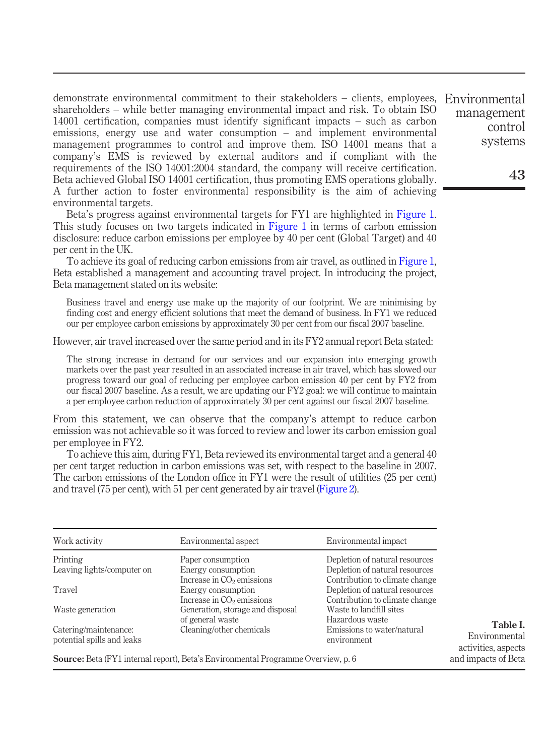demonstrate environmental commitment to their stakeholders – clients, employees, Environmental shareholders – while better managing environmental impact and risk. To obtain ISO 14001 certification, companies must identify significant impacts – such as carbon emissions, energy use and water consumption – and implement environmental management programmes to control and improve them. ISO 14001 means that a company's EMS is reviewed by external auditors and if compliant with the requirements of the ISO 14001:2004 standard, the company will receive certification. Beta achieved Global ISO 14001 certification, thus promoting EMS operations globally. A further action to foster environmental responsibility is the aim of achieving environmental targets.

Beta's progress against environmental targets for FY1 are highlighted in [Figure 1](#page-5-0). This study focuses on two targets indicated in [Figure 1](#page-5-0) in terms of carbon emission disclosure: reduce carbon emissions per employee by 40 per cent (Global Target) and 40 per cent in the UK.

To achieve its goal of reducing carbon emissions from air travel, as outlined in [Figure 1](#page-5-0), Beta established a management and accounting travel project. In introducing the project, Beta management stated on its website:

Business travel and energy use make up the majority of our footprint. We are minimising by finding cost and energy efficient solutions that meet the demand of business. In FY1 we reduced our per employee carbon emissions by approximately 30 per cent from our fiscal 2007 baseline.

However, air travel increased over the same period and in its FY2 annual report Beta stated:

The strong increase in demand for our services and our expansion into emerging growth markets over the past year resulted in an associated increase in air travel, which has slowed our progress toward our goal of reducing per employee carbon emission 40 per cent by FY2 from our fiscal 2007 baseline. As a result, we are updating our FY2 goal: we will continue to maintain a per employee carbon reduction of approximately 30 per cent against our fiscal 2007 baseline.

From this statement, we can observe that the company's attempt to reduce carbon emission was not achievable so it was forced to review and lower its carbon emission goal per employee in FY2.

To achieve this aim, during FY1, Beta reviewed its environmental target and a general 40 per cent target reduction in carbon emissions was set, with respect to the baseline in 2007. The carbon emissions of the London office in FY1 were the result of utilities (25 per cent) and travel (75 per cent), with 51 per cent generated by air travel ([Figure 2\)](#page-5-1).

| Work activity                                       | Environmental aspect                                                                     | Environmental impact                                             |
|-----------------------------------------------------|------------------------------------------------------------------------------------------|------------------------------------------------------------------|
| Printing                                            | Paper consumption                                                                        | Depletion of natural resources                                   |
| Leaving lights/computer on                          | Energy consumption<br>Increase in $CO2$ emissions                                        | Depletion of natural resources<br>Contribution to climate change |
| Travel                                              | Energy consumption<br>Increase in $CO2$ emissions                                        | Depletion of natural resources<br>Contribution to climate change |
| Waste generation                                    | Generation, storage and disposal<br>of general waste                                     | Waste to landfill sites<br>Hazardous waste                       |
| Catering/maintenance:<br>potential spills and leaks | Cleaning/other chemicals                                                                 | Emissions to water/natural<br>environment                        |
|                                                     | <b>Source:</b> Beta (FY1 internal report), Beta's Environmental Programme Overview, p. 6 |                                                                  |

<span id="page-4-0"></span>Table I. Environmental activities, aspects and impacts of Beta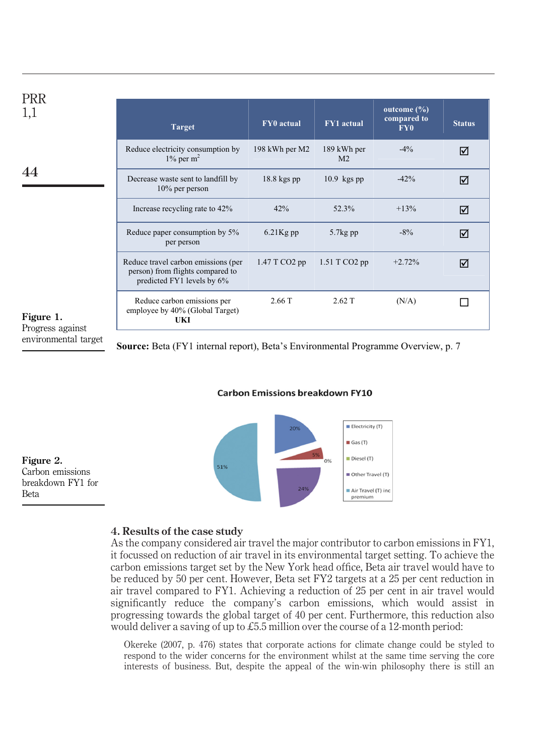| <b>PRR</b><br>1,1             | <b>Target</b>                                                                                         | FY0 actual     | <b>FY1</b> actual             | outcome $(\%)$<br>compared to<br>FY <sub>0</sub> | <b>Stat</b> |
|-------------------------------|-------------------------------------------------------------------------------------------------------|----------------|-------------------------------|--------------------------------------------------|-------------|
|                               | Reduce electricity consumption by<br>$1\%$ per m <sup>2</sup>                                         | 198 kWh per M2 | 189 kWh per<br>M <sub>2</sub> | $-4\%$                                           | ☑           |
|                               | Decrease waste sent to landfill by<br>$10\%$ per person                                               | $18.8$ kgs pp  | $10.9$ kgs pp                 | $-42%$                                           | ☑           |
|                               | Increase recycling rate to 42%                                                                        | 42%            | 52.3%                         | $+13%$                                           | ☑           |
|                               | Reduce paper consumption by 5%<br>per person                                                          | $6.21$ Kg pp   | $5.7kg$ pp                    | $-8\%$                                           | ☑           |
|                               | Reduce travel carbon emissions (per<br>person) from flights compared to<br>predicted FY1 levels by 6% | 1.47 T CO2 pp  | $1.51$ T CO2 pp               | $+2.72%$                                         | ☑           |
| Figure 1.<br>Progress against | Reduce carbon emissions per<br>employee by 40% (Global Target)<br>UKI                                 | 2.66 T         | 2.62T                         | (N/A)                                            |             |
|                               |                                                                                                       |                |                               |                                                  |             |

environmental target

<span id="page-5-0"></span>**Source:** Beta (FY1 internal report), Beta's Environmental Programme Overview, p. 7

**Status** 

 $\overline{M}$ 

#### **Carbon Emissions breakdown FY10**



Figure 2. Carbon emissions breakdown FY1 for Beta

# <span id="page-5-1"></span>4. Results of the case study

As the company considered air travel the major contributor to carbon emissions in FY1, it focussed on reduction of air travel in its environmental target setting. To achieve the carbon emissions target set by the New York head office, Beta air travel would have to be reduced by 50 per cent. However, Beta set FY2 targets at a 25 per cent reduction in air travel compared to FY1. Achieving a reduction of 25 per cent in air travel would significantly reduce the company's carbon emissions, which would assist in progressing towards the global target of 40 per cent. Furthermore, this reduction also would deliver a saving of up to £5.5 million over the course of a 12-month period:

Okereke (2007, p. 476) states that corporate actions for climate change could be styled to respond to the wider concerns for the environment whilst at the same time serving the core interests of business. But, despite the appeal of the win-win philosophy there is still an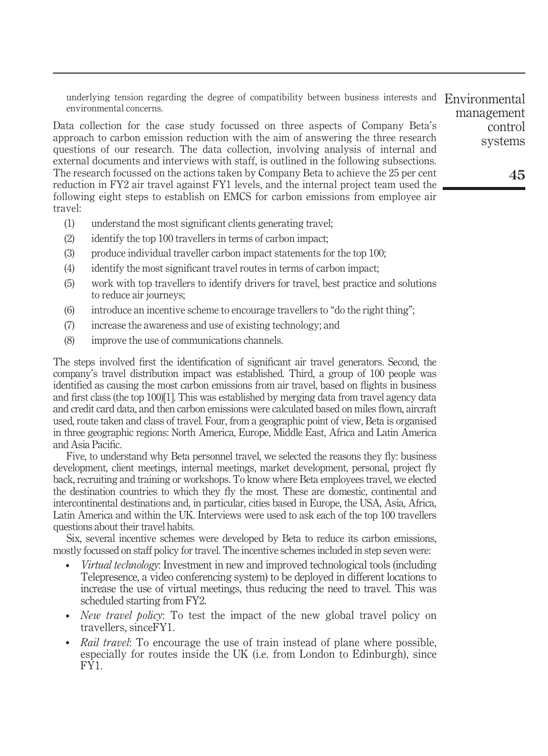underlying tension regarding the degree of compatibility between business interests and Environmental environmental concerns.

Data collection for the case study focussed on three aspects of Company Beta's approach to carbon emission reduction with the aim of answering the three research questions of our research. The data collection, involving analysis of internal and external documents and interviews with staff, is outlined in the following subsections. The research focussed on the actions taken by Company Beta to achieve the 25 per cent reduction in FY2 air travel against FY1 levels, and the internal project team used the following eight steps to establish on EMCS for carbon emissions from employee air travel:

- (1) understand the most significant clients generating travel;
- (2) identify the top 100 travellers in terms of carbon impact;
- (3) produce individual traveller carbon impact statements for the top 100;
- (4) identify the most significant travel routes in terms of carbon impact;
- (5) work with top travellers to identify drivers for travel, best practice and solutions to reduce air journeys;
- (6) introduce an incentive scheme to encourage travellers to "do the right thing";
- (7) increase the awareness and use of existing technology; and
- (8) improve the use of communications channels.

The steps involved first the identification of significant air travel generators. Second, the company's travel distribution impact was established. Third, a group of 100 people was identified as causing the most carbon emissions from air travel, based on flights in business and first class (the top 100)[1]. This was established by merging data from travel agency data and credit card data, and then carbon emissions were calculated based on miles flown, aircraft used, route taken and class of travel. Four, from a geographic point of view, Beta is organised in three geographic regions: North America, Europe, Middle East, Africa and Latin America and Asia Pacific.

Five, to understand why Beta personnel travel, we selected the reasons they fly: business development, client meetings, internal meetings, market development, personal, project fly back, recruiting and training or workshops. To know where Beta employees travel, we elected the destination countries to which they fly the most. These are domestic, continental and intercontinental destinations and, in particular, cities based in Europe, the USA, Asia, Africa, Latin America and within the UK. Interviews were used to ask each of the top 100 travellers questions about their travel habits.

Six, several incentive schemes were developed by Beta to reduce its carbon emissions, mostly focussed on staff policy for travel. The incentive schemes included in step seven were:

- - Virtual technology: Investment in new and improved technological tools (including Telepresence, a video conferencing system) to be deployed in different locations to increase the use of virtual meetings, thus reducing the need to travel. This was scheduled starting from FY2.
- *New travel policy*: To test the impact of the new global travel policy on travellers, sinceFY1.
- -Rail travel: To encourage the use of train instead of plane where possible, especially for routes inside the UK (i.e. from London to Edinburgh), since FY1.

management control systems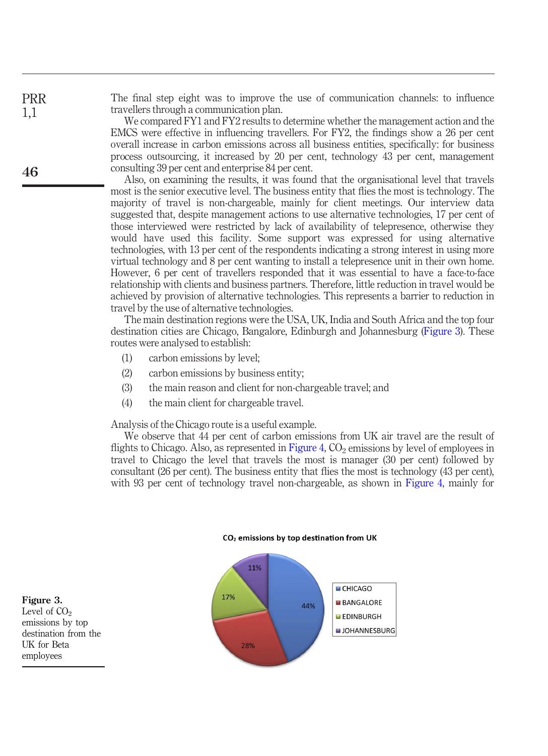The final step eight was to improve the use of communication channels: to influence travellers through a communication plan.

We compared FY1 and FY2 results to determine whether the management action and the EMCS were effective in influencing travellers. For FY2, the findings show a 26 per cent overall increase in carbon emissions across all business entities, specifically: for business process outsourcing, it increased by 20 per cent, technology 43 per cent, management consulting 39 per cent and enterprise 84 per cent.

Also, on examining the results, it was found that the organisational level that travels most is the senior executive level. The business entity that flies the most is technology. The majority of travel is non-chargeable, mainly for client meetings. Our interview data suggested that, despite management actions to use alternative technologies, 17 per cent of those interviewed were restricted by lack of availability of telepresence, otherwise they would have used this facility. Some support was expressed for using alternative technologies, with 13 per cent of the respondents indicating a strong interest in using more virtual technology and 8 per cent wanting to install a telepresence unit in their own home. However, 6 per cent of travellers responded that it was essential to have a face-to-face relationship with clients and business partners. Therefore, little reduction in travel would be achieved by provision of alternative technologies. This represents a barrier to reduction in travel by the use of alternative technologies.

The main destination regions were the USA, UK, India and South Africa and the top four destination cities are Chicago, Bangalore, Edinburgh and Johannesburg ([Figure 3](#page-7-0)). These routes were analysed to establish:

- (1) carbon emissions by level;
- (2) carbon emissions by business entity;
- (3) the main reason and client for non-chargeable travel; and
- (4) the main client for chargeable travel.

Analysis of the Chicago route is a useful example.

We observe that 44 per cent of carbon emissions from UK air travel are the result of flights to Chicago. Also, as represented in [Figure 4,](#page-8-0)  $CO<sub>2</sub>$  emissions by level of employees in travel to Chicago the level that travels the most is manager (30 per cent) followed by consultant (26 per cent). The business entity that flies the most is technology (43 per cent), with 93 per cent of technology travel non-chargeable, as shown in [Figure 4](#page-8-0), mainly for



<span id="page-7-0"></span>Figure 3. Level of  $CO<sub>2</sub>$ emissions by top destination from the UK for Beta employees

PRR 1,1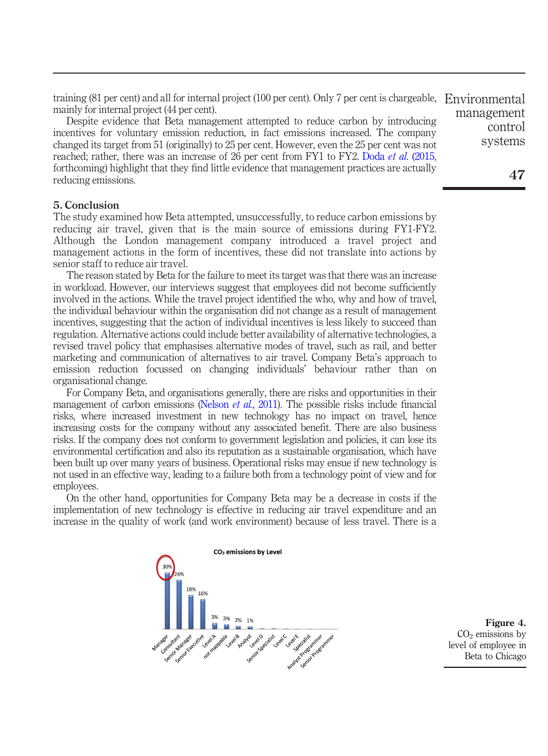training (81 per cent) and all for internal project (100 per cent). Only 7 per cent is chargeable, Environmental mainly for internal project (44 per cent).

Despite evidence that Beta management attempted to reduce carbon by introducing incentives for voluntary emission reduction, in fact emissions increased. The company changed its target from 51 (originally) to 25 per cent. However, even the 25 per cent was not reached; rather, there was an increase of 26 per cent from FY1 to FY2. Doda *et al.* (2015, forthcoming) highlight that they find little evidence that management practices are actually reducing emissions.

#### 5. Conclusion

The study examined how Beta attempted, unsuccessfully, to reduce carbon emissions by reducing air travel, given that is the main source of emissions during FY1-FY2. Although the London management company introduced a travel project and management actions in the form of incentives, these did not translate into actions by senior staff to reduce air travel.

The reason stated by Beta for the failure to meet its target was that there was an increase in workload. However, our interviews suggest that employees did not become sufficiently involved in the actions. While the travel project identified the who, why and how of travel, the individual behaviour within the organisation did not change as a result of management incentives, suggesting that the action of individual incentives is less likely to succeed than regulation. Alternative actions could include better availability of alternative technologies, a revised travel policy that emphasises alternative modes of travel, such as rail, and better marketing and communication of alternatives to air travel. Company Beta's approach to emission reduction focussed on changing individuals' behaviour rather than on organisational change.

For Company Beta, and organisations generally, there are risks and opportunities in their management of carbon emissions ([Nelson](#page-10-18) *et al.*, 2011). The possible risks include financial risks, where increased investment in new technology has no impact on travel, hence increasing costs for the company without any associated benefit. There are also business risks. If the company does not conform to government legislation and policies, it can lose its environmental certification and also its reputation as a sustainable organisation, which have been built up over many years of business. Operational risks may ensue if new technology is not used in an effective way, leading to a failure both from a technology point of view and for employees.

On the other hand, opportunities for Company Beta may be a decrease in costs if the implementation of new technology is effective in reducing air travel expenditure and an increase in the quality of work (and work environment) because of less travel. There is a

<span id="page-8-0"></span>

Figure 4.  $CO<sub>2</sub>$  emissions by level of employee in Beta to Chicago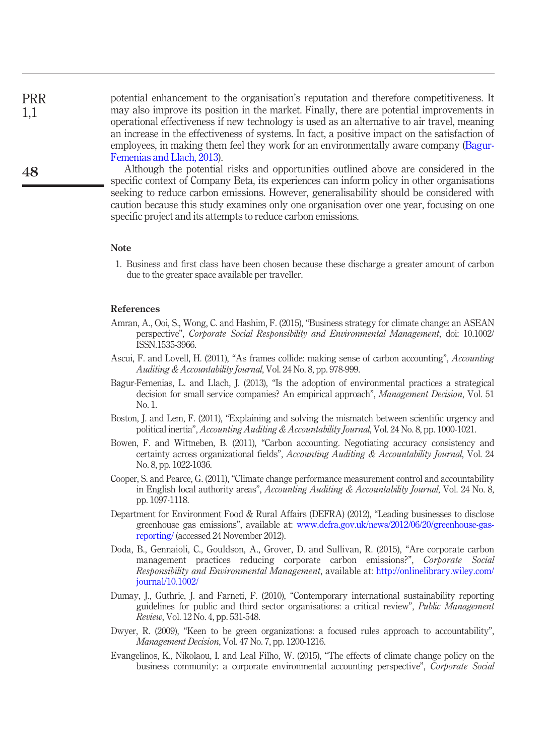potential enhancement to the organisation's reputation and therefore competitiveness. It may also improve its position in the market. Finally, there are potential improvements in operational effectiveness if new technology is used as an alternative to air travel, meaning an increase in the effectiveness of systems. In fact, a positive impact on the satisfaction of employees, in making them feel they work for an environmentally aware company [\(Bagur-](#page-9-5)[Femenias and Llach, 2013](#page-9-5)).

Although the potential risks and opportunities outlined above are considered in the specific context of Company Beta, its experiences can inform policy in other organisations seeking to reduce carbon emissions. However, generalisability should be considered with caution because this study examines only one organisation over one year, focusing on one specific project and its attempts to reduce carbon emissions.

#### Note

1. Business and first class have been chosen because these discharge a greater amount of carbon due to the greater space available per traveller.

#### References

- <span id="page-9-9"></span>Amran, A., Ooi, S., Wong, C. and Hashim, F. (2015), "Business strategy for climate change: an ASEAN perspective", Corporate Social Responsibility and Environmental Management, doi: 10.1002/ ISSN.1535-3966.
- <span id="page-9-2"></span>Ascui, F. and Lovell, H. (2011), "As frames collide: making sense of carbon accounting", Accounting Auditing & Accountability Journal, Vol. 24 No. 8, pp. 978-999.
- <span id="page-9-5"></span>Bagur-Femenias, L. and Llach, J. (2013), "Is the adoption of environmental practices a strategical decision for small service companies? An empirical approach", *Management Decision*, Vol. 51 No. 1.
- <span id="page-9-3"></span>Boston, J. and Lem, F. (2011), "Explaining and solving the mismatch between scientific urgency and political inertia", Accounting Auditing & Accountability Journal, Vol. 24 No. 8, pp. 1000-1021.
- <span id="page-9-1"></span>Bowen, F. and Wittneben, B. (2011), "Carbon accounting. Negotiating accuracy consistency and certainty across organizational fields", Accounting Auditing & Accountability Journal, Vol. 24 No. 8, pp. 1022-1036.
- <span id="page-9-4"></span>Cooper, S. and Pearce, G. (2011), "Climate change performance measurement control and accountability in English local authority areas", Accounting Auditing  $&$  Accountability Journal, Vol. 24 No. 8, pp. 1097-1118.
- <span id="page-9-7"></span>Department for Environment Food & Rural Affairs (DEFRA) (2012), "Leading businesses to disclose greenhouse gas emissions", available at: [www.defra.gov.uk/news/2012/06/20/greenhouse-gas](http://www.defra.gov.uk/news/2012/06/20/greenhouse-gas-reporting/)[reporting/](http://www.defra.gov.uk/news/2012/06/20/greenhouse-gas-reporting/) (accessed 24 November 2012).
- <span id="page-9-10"></span>Doda, B., Gennaioli, C., Gouldson, A., Grover, D. and Sullivan, R. (2015), "Are corporate carbon management practices reducing corporate carbon emissions?", Corporate Social Responsibility and Environmental Management, available at: [http://onlinelibrary.wiley.com/](http://onlinelibrary.wiley.com/journal/10.1002/) [journal/10.1002/](http://onlinelibrary.wiley.com/journal/10.1002/)
- <span id="page-9-0"></span>Dumay, J., Guthrie, J. and Farneti, F. (2010), "Contemporary international sustainability reporting guidelines for public and third sector organisations: a critical review", Public Management Review, Vol. 12 No. 4, pp. 531-548.
- <span id="page-9-8"></span>Dwyer, R. (2009), "Keen to be green organizations: a focused rules approach to accountability", Management Decision, Vol. 47 No. 7, pp. 1200-1216.
- <span id="page-9-6"></span>Evangelinos, K., Nikolaou, I. and Leal Filho, W. (2015), "The effects of climate change policy on the business community: a corporate environmental accounting perspective", Corporate Social

PRR 1,1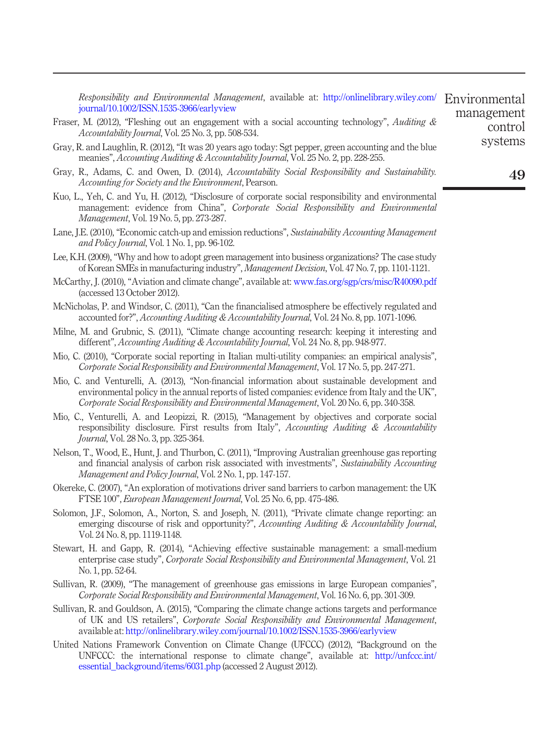<span id="page-10-16"></span><span id="page-10-15"></span><span id="page-10-13"></span><span id="page-10-11"></span><span id="page-10-10"></span><span id="page-10-9"></span><span id="page-10-8"></span><span id="page-10-5"></span><span id="page-10-3"></span><span id="page-10-1"></span><span id="page-10-0"></span>

| <i>Responsibility and Environmental Management, available at: http://onlinelibrary.wiley.com/</i>                                                                                                                                                                                                | Environmental      |
|--------------------------------------------------------------------------------------------------------------------------------------------------------------------------------------------------------------------------------------------------------------------------------------------------|--------------------|
| journal/10.1002/ISSN.1535-3966/earlyview                                                                                                                                                                                                                                                         | management         |
| Fraser, M. (2012), "Fleshing out an engagement with a social accounting technology", Auditing $\&$<br><i>Accountability Journal, Vol. 25 No. 3, pp. 508-534.</i>                                                                                                                                 | control<br>systems |
| Gray, R. and Laughlin, R. (2012), "It was 20 years ago today: Sgt pepper, green accounting and the blue<br>meanies", Accounting Auditing & Accountability Journal, Vol. 25 No. 2, pp. 228-255.                                                                                                   |                    |
| Gray, R., Adams, C. and Owen, D. (2014), Accountability Social Responsibility and Sustainability.<br><i>Accounting for Society and the Environment, Pearson.</i>                                                                                                                                 | 49                 |
| Kuo, L., Yeh, C. and Yu, H. (2012), "Disclosure of corporate social responsibility and environmental<br>management: evidence from China", Corporate Social Responsibility and Environmental<br><i>Management</i> , Vol. 19 No. 5, pp. 273-287.                                                   |                    |
| Lane, J.E. (2010), "Economic catch-up and emission reductions", Sustainability Accounting Management<br>and Policy Journal, Vol. 1 No. 1, pp. 96-102.                                                                                                                                            |                    |
| Lee, K.H. (2009), "Why and how to adopt green management into business organizations? The case study<br>of Korean SMEs in manufacturing industry", Management Decision, Vol. 47 No. 7, pp. 1101-1121.                                                                                            |                    |
| McCarthy, J. (2010), "Aviation and climate change", available at: www.fas.org/sgp/crs/misc/R40090.pdf<br>(accessed 13 October 2012).                                                                                                                                                             |                    |
| McNicholas, P. and Windsor, C. (2011), "Can the financialised atmosphere be effectively regulated and<br>accounted for?", <i>Accounting Auditing &amp; Accountability Journal</i> , Vol. 24 No. 8, pp. 1071-1096.                                                                                |                    |
| Milne, M. and Grubnic, S. (2011), "Climate change accounting research: keeping it interesting and<br>different", <i>Accounting Auditing &amp; Accountability Journal</i> , Vol. 24 No. 8, pp. 948-977.                                                                                           |                    |
| Mio, C. (2010), "Corporate social reporting in Italian multi-utility companies: an empirical analysis",<br>Corporate Social Responsibility and Environmental Management, Vol. 17 No. 5, pp. 247-271.                                                                                             |                    |
| Mio, C. and Venturelli, A. (2013), "Non-financial information about sustainable development and<br>environmental policy in the annual reports of listed companies: evidence from Italy and the UK",<br>Corporate Social Responsibility and Environmental Management, Vol. 20 No. 6, pp. 340-358. |                    |
| Mio, C., Venturelli, A. and Leopizzi, R. (2015), "Management by objectives and corporate social<br>responsibility disclosure. First results from Italy", Accounting Auditing & Accountability<br><i>Journal</i> , Vol. 28 No. 3, pp. 325-364.                                                    |                    |
| Nelson, T., Wood, E., Hunt, J. and Thurbon, C. (2011), "Improving Australian greenhouse gas reporting<br>and financial analysis of carbon risk associated with investments", Sustainability Accounting<br>Management and Policy Journal, Vol. 2 No. 1, pp. 147-157.                              |                    |
| Okereke, C. (2007), "An exploration of motivations driver sand barriers to carbon management: the UK<br>FTSE 100", European Management Journal, Vol. 25 No. 6, pp. 475-486.                                                                                                                      |                    |
| Solomon, J.F., Solomon, A., Norton, S. and Joseph, N. (2011), "Private climate change reporting: an<br>emerging discourse of risk and opportunity?", Accounting Auditing & Accountability Journal,<br>Vol. 24 No. 8, pp. 1119-1148.                                                              |                    |
| Stewart, H. and Gapp, R. (2014), "Achieving effective sustainable management: a small-medium<br>enterprise case study", Corporate Social Responsibility and Environmental Management, Vol. 21<br>No. 1, pp. 52-64.                                                                               |                    |
| Sullivan, R. (2009), "The management of greenhouse gas emissions in large European companies",<br>Corporate Social Responsibility and Environmental Management, Vol. 16 No. 6, pp. 301-309.                                                                                                      |                    |
| Sullivan, R. and Gouldson, A. (2015), "Comparing the climate change actions targets and performance<br>of UK and US retailers", Corporate Social Responsibility and Environmental Management,<br>available at: http://onlinelibrary.wiley.com/journal/10.1002/ISSN.1535-3966/earlyview           |                    |
| United Nations Framework Convention on Climate Change (UFCCC) (2012), "Background on the<br>UNFCCC: the international response to climate change", available at: http://unfccc.int/                                                                                                              |                    |

<span id="page-10-18"></span><span id="page-10-17"></span><span id="page-10-14"></span><span id="page-10-12"></span><span id="page-10-7"></span><span id="page-10-6"></span><span id="page-10-4"></span><span id="page-10-2"></span>[essential\\_background/items/6031.php](http://unfccc.int/essential_background/items/6031.php) (accessed 2 August 2012).